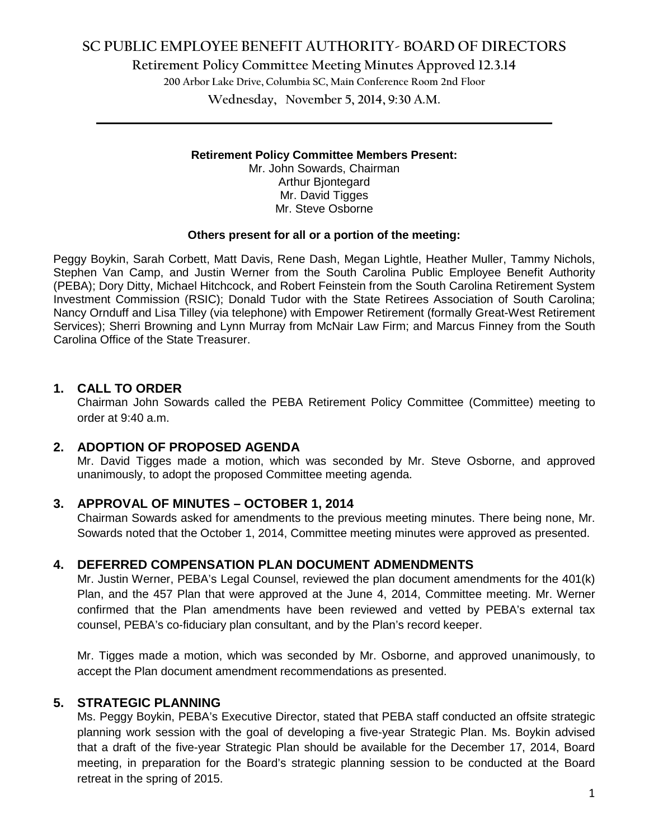# **SC PUBLIC EMPLOYEE BENEFIT AUTHORITY- BOARD OF DIRECTORS**

**Retirement Policy Committee Meeting Minutes Approved 12.3.14**

**200 Arbor Lake Drive, Columbia SC, Main Conference Room 2nd Floor**

**Wednesday, November 5, 2014, 9:30 A.M. \_\_\_\_\_\_\_\_\_\_\_\_\_\_\_\_\_\_\_\_\_\_\_\_\_\_\_\_\_\_\_\_\_\_\_\_\_\_\_\_\_\_\_\_\_\_\_\_\_\_\_\_\_\_\_\_\_\_\_\_\_\_\_\_\_\_\_\_\_\_\_\_**

#### **Retirement Policy Committee Members Present:**

Mr. John Sowards, Chairman Arthur Bjontegard Mr. David Tigges Mr. Steve Osborne

#### **Others present for all or a portion of the meeting:**

Peggy Boykin, Sarah Corbett, Matt Davis, Rene Dash, Megan Lightle, Heather Muller, Tammy Nichols, Stephen Van Camp, and Justin Werner from the South Carolina Public Employee Benefit Authority (PEBA); Dory Ditty, Michael Hitchcock, and Robert Feinstein from the South Carolina Retirement System Investment Commission (RSIC); Donald Tudor with the State Retirees Association of South Carolina; Nancy Ornduff and Lisa Tilley (via telephone) with Empower Retirement (formally Great-West Retirement Services); Sherri Browning and Lynn Murray from McNair Law Firm; and Marcus Finney from the South Carolina Office of the State Treasurer.

#### **1. CALL TO ORDER**

Chairman John Sowards called the PEBA Retirement Policy Committee (Committee) meeting to order at 9:40 a.m.

## **2. ADOPTION OF PROPOSED AGENDA**

Mr. David Tigges made a motion, which was seconded by Mr. Steve Osborne, and approved unanimously, to adopt the proposed Committee meeting agenda.

#### **3. APPROVAL OF MINUTES – OCTOBER 1, 2014**

Chairman Sowards asked for amendments to the previous meeting minutes. There being none, Mr. Sowards noted that the October 1, 2014, Committee meeting minutes were approved as presented.

## **4. DEFERRED COMPENSATION PLAN DOCUMENT ADMENDMENTS**

Mr. Justin Werner, PEBA's Legal Counsel, reviewed the plan document amendments for the 401(k) Plan, and the 457 Plan that were approved at the June 4, 2014, Committee meeting. Mr. Werner confirmed that the Plan amendments have been reviewed and vetted by PEBA's external tax counsel, PEBA's co-fiduciary plan consultant, and by the Plan's record keeper.

Mr. Tigges made a motion, which was seconded by Mr. Osborne, and approved unanimously, to accept the Plan document amendment recommendations as presented.

## **5. STRATEGIC PLANNING**

Ms. Peggy Boykin, PEBA's Executive Director, stated that PEBA staff conducted an offsite strategic planning work session with the goal of developing a five-year Strategic Plan. Ms. Boykin advised that a draft of the five-year Strategic Plan should be available for the December 17, 2014, Board meeting, in preparation for the Board's strategic planning session to be conducted at the Board retreat in the spring of 2015.